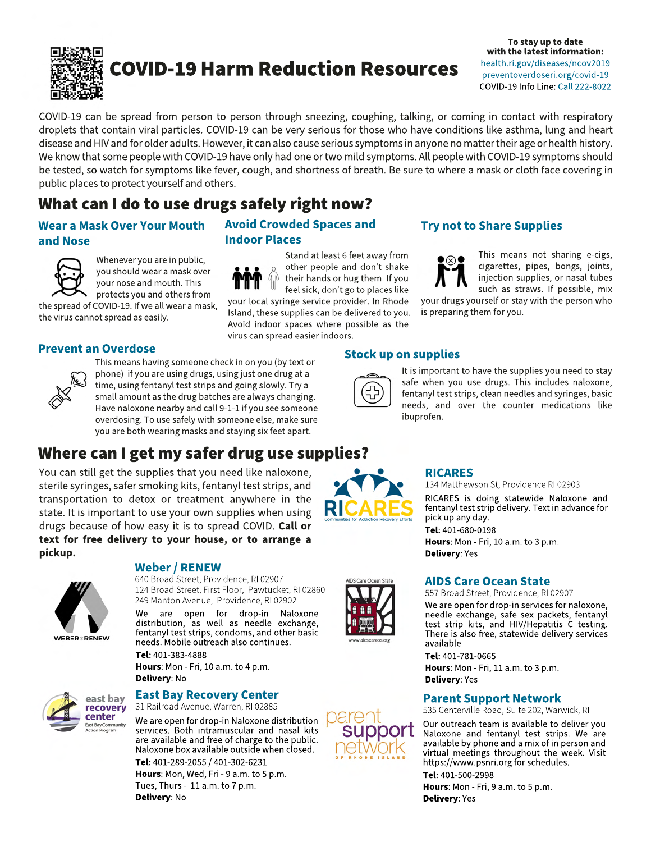

**To stay up to date with the latest information:** health.ri.gov/diseases/ncov2019 preventoverdoseri.org/covid-19 COVID-19 Info Line: Call 222-8022

COVID-19 can be spread from person to person through sneezing, coughing, talking, or coming in contact with respiratory droplets that contain viral particles. COVID-19 can be very serious for those who have conditions like asthma, lung and heart disease and HIV and for older adults. However, it can also cause serious symptoms in anyone no matter their age or health history. We know that some people with COVID-19 have only had one or two mild symptoms. All people with COVID-19 symptoms should be tested, so watch for symptoms like fever, cough, and shortness of breath. Be sure to where a mask or cloth face covering in public places to protect yourself and others.

## What can I do to use drugs safely right now?

## **Wear a Mask Over Your Mouth and Nose**



Whenever you are in public, you should wear a mask over your nose and mouth. This protects you and others from

the spread of COVID-19. If we all wear a mask, the virus cannot spread as easily.



**Prevent an Overdose**<br>
This means having someone check in on you (by text or **Stock up on supplies** phone) if you are using drugs, using just one drug at a time, using fentanyl test strips and going slowly. Try a small amount as the drug batches are always changing. Have naloxone nearby and call 9-1-1 if you see someone overdosing. To use safely with someone else, make sure you are both wearing masks and staying six feet apart.

## Where can I get my safer drug use supplies?

You can still get the supplies that you need like naloxone, sterile syringes, safer smoking kits, fentanyl test strips, and transportation to detox or treatment anywhere in the state. It is important to use your own supplies when using drugs because of how easy it is to spread COVID. **Call or text for free delivery to your house, or to arrange a pickup.**



#### **Weber / RENEW**

640 Broad Street, Providence, RI 02907 124 Broad Street, First Floor, Pawtucket, RI 02860

We are open for drop-in Naloxone distribution, as well as needle exchange, fentanyl test strips, condoms, and other basic needs. Mobile outreach also continues.

**Tel:** 401-383-4888 **Hours**: Mon - Fri, 10 a.m. to 4 p.m. **Delivery**: No



#### **East Bay Recovery Center** 31 Railroad Avenue, Warren, RI 02885

We are open for drop-in Naloxone distribution services. Both intramuscular and nasal kits are available and free of charge to the public. Naloxone box available outside when closed.

**Tel:** 401-289-2055 / 401-302-6231 **Hours**: Mon, Wed, Fri - 9 a.m. to 5 p.m. Tues, Thurs - 11 a.m. to 7 p.m. **Delivery**: No



Stand at least 6 feet away from other people and don't shake their hands or hug them. If you feel sick, don't go to places like your local syringe service provider. In Rhode Island, these supplies can be delivered to you. Avoid indoor spaces where possible as the virus can spread easier indoors.

## **Try not to Share Supplies**



This means not sharing e-cigs, cigarettes, pipes, bongs, joints, injection supplies, or nasal tubes such as straws. If possible, mix

your drugs yourself or stay with the person who is preparing them for you.



It is important to have the supplies you need to stay safe when you use drugs. This includes naloxone, fentanyl test strips, clean needles and syringes, basic needs, and over the counter medications like ibuprofen.



## **RICARES**

134 Matthewson St, Providence RI 02903

RICARES is doing statewide Naloxone and fentanyl test strip delivery. Text in advance for pick up any day. **Tel:** 401-680-0198 **Hours**: Mon - Fri, 10 a.m. to 3 p.m. **Delivery**: Yes

#### **AIDS Care Ocean State**

557 Broad Street, Providence, RI 02907

249 Manton Avenue, Providence, RI 02902 We are open for drop-in services for naloxone, needle exchange, safe sex packets, fentanyl test strip kits, and HIV/Hepatitis C testing. There is also free, statewide delivery services available

**Tel:** 401-781-0665

**Hours**: Mon - Fri, 11 a.m. to 3 p.m. **Delivery**: Yes

## **Parent Support Network**

535 Centerville Road, Suite 202, Warwick, RI

Our outreach team is available to deliver you Naloxone and fentanyl test strips. We are available by phone and a mix of in person and virtual meetings throughout the week. Visit https://www.psnri.org for schedules.

**Tel:** 401-500-2998 **Hours**: Mon - Fri, 9 a.m. to 5 p.m. **Delivery**: Yes





SUDDOIT